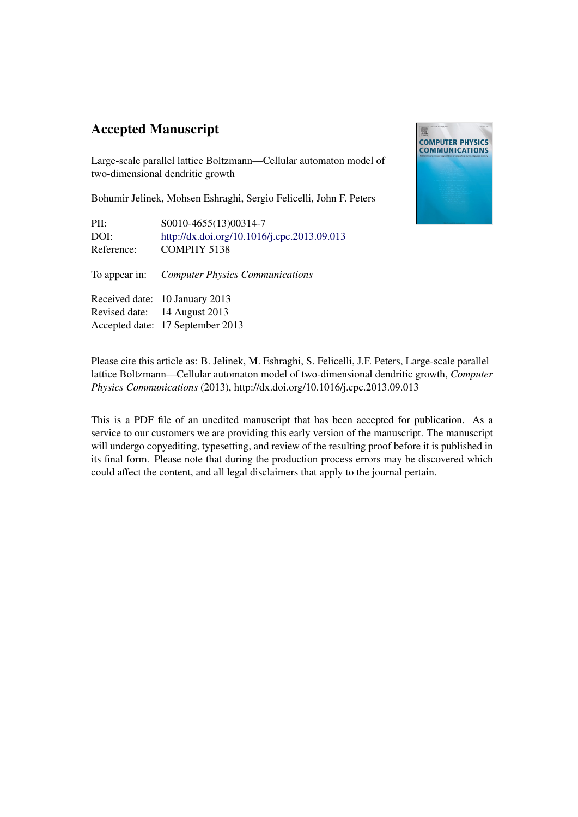# Accepted Manuscript



Large-scale parallel lattice Boltzmann—Cellular automaton model of two-dimensional dendritic growth

Bohumir Jelinek, Mohsen Eshraghi, Sergio Felicelli, John F. Peters

PII: S0010-4655(13)00314-7 DOI: <http://dx.doi.org/10.1016/j.cpc.2013.09.013> Reference: COMPHY 5138

To appear in: *Computer Physics Communications*

Received date: 10 January 2013 Revised date: 14 August 2013 Accepted date: 17 September 2013

Please cite this article as: B. Jelinek, M. Eshraghi, S. Felicelli, J.F. Peters, Large-scale parallel lattice Boltzmann—Cellular automaton model of two-dimensional dendritic growth, *Computer Physics Communications* (2013), http://dx.doi.org/10.1016/j.cpc.2013.09.013

This is a PDF file of an unedited manuscript that has been accepted for publication. As a service to our customers we are providing this early version of the manuscript. The manuscript will undergo copyediting, typesetting, and review of the resulting proof before it is published in its final form. Please note that during the production process errors may be discovered which could affect the content, and all legal disclaimers that apply to the journal pertain.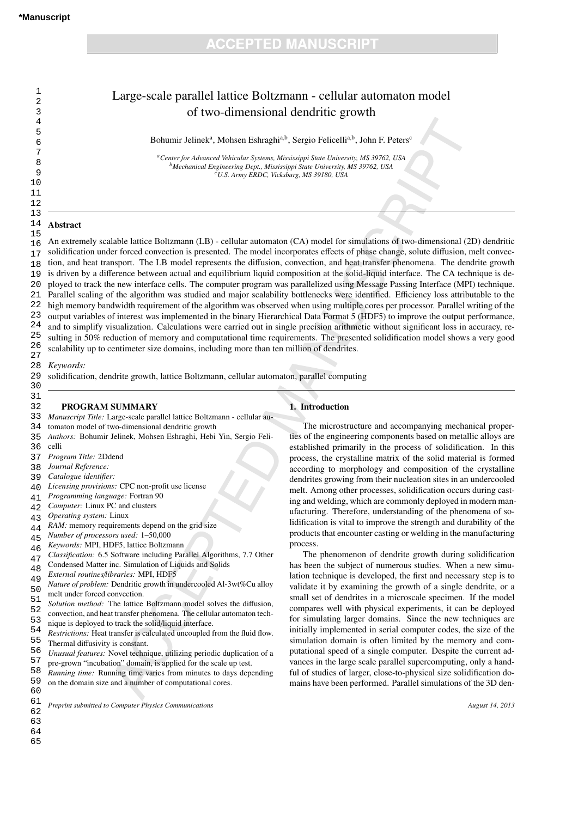| Large-scale parallel lattice Boltzmann - cellular automaton model |
|-------------------------------------------------------------------|
| of two-dimensional dendritic growth                               |

Bohumir Jelinek<sup>a</sup>, Mohsen Eshraghi<sup>a,b</sup>, Sergio Felicelli<sup>a,b</sup>, John F. Peters<sup>c</sup>

*<sup>a</sup>Center for Advanced Vehicular Systems, Mississippi State University, MS 39762, USA <sup>b</sup>Mechanical Engineering Dept., Mississippi State University, MS 39762, USA <sup>c</sup>U.S. Army ERDC, Vicksburg, MS 39180, USA*

### 14 Abstract

15 16 17 18 19  $20$ 21 22 23 24 25 26 27 An extremely scalable lattice Boltzmann (LB) - cellular automaton (CA) model for simulations of two-dimensional (2D) dendritic solidification under forced convection is presented. The model incorporates effects of phase change, solute diffusion, melt convection, and heat transport. The LB model represents the diffusion, convection, and heat transfer phenomena. The dendrite growth is driven by a difference between actual and equilibrium liquid composition at the solid-liquid interface. The CA technique is deployed to track the new interface cells. The computer program was parallelized using Message Passing Interface (MPI) technique. Parallel scaling of the algorithm was studied and major scalability bottlenecks were identified. Efficiency loss attributable to the high memory bandwidth requirement of the algorithm was observed when using multiple cores per processor. Parallel writing of the output variables of interest was implemented in the binary Hierarchical Data Format 5 (HDF5) to improve the output performance, and to simplify visualization. Calculations were carried out in single precision arithmetic without significant loss in accuracy, resulting in 50% reduction of memory and computational time requirements. The presented solidification model shows a very good scalability up to centimeter size domains, including more than ten million of dendrites.

1. Introduction

process.

The microstructure and accompanying mechanical properties of the engineering components based on metallic alloys are established primarily in the process of solidification. In this process, the crystalline matrix of the solid material is formed according to morphology and composition of the crystalline dendrites growing from their nucleation sites in an undercooled melt. Among other processes, solidification occurs during casting and welding, which are commonly deployed in modern manufacturing. Therefore, understanding of the phenomena of solidification is vital to improve the strength and durability of the products that encounter casting or welding in the manufacturing

The phenomenon of dendrite growth during solidification has been the subject of numerous studies. When a new simulation technique is developed, the first and necessary step is to validate it by examining the growth of a single dendrite, or a small set of dendrites in a microscale specimen. If the model compares well with physical experiments, it can be deployed for simulating larger domains. Since the new techniques are initially implemented in serial computer codes, the size of the simulation domain is often limited by the memory and computational speed of a single computer. Despite the current advances in the large scale parallel supercomputing, only a handful of studies of larger, close-to-physical size solidification domains have been performed. Parallel simulations of the 3D den-

28 *Keywords:*

29 30 solidification, dendrite growth, lattice Boltzmann, cellular automaton, parallel computing

### PROGRAM SUMMARY

33 *Manuscript Title:* Large-scale parallel lattice Boltzmann - cellular au-

- 34 tomaton model of two-dimensional dendritic growth
- 35 *Authors:* Bohumir Jelinek, Mohsen Eshraghi, Hebi Yin, Sergio Feli-
- 36 celli

31 32

- 37 *Program Title:* 2Ddend
- 38 *Journal Reference:*
- 39 *Catalogue identifier:*
- $40$ *Licensing provisions:* CPC non-profit use license
- 41 *Programming language:* Fortran 90
- $42$ *Computer:* Linux PC and clusters
- 43 *Operating system:* Linux
- 44 *RAM:* memory requirements depend on the grid size
- 45 *Number of processors used:* 1–50,000
- 46 *Keywords:* MPI, HDF5, lattice Boltzmann
- 47 *Classification:* 6.5 Software including Parallel Algorithms, 7.7 Other
- 48 Condensed Matter inc. Simulation of Liquids and Solids
- 49 *External routines*/*libraries:* MPI, HDF5
- 50 51 *Nature of problem:* Dendritic growth in undercooled Al-3wt%Cu alloy melt under forced convection.
- 52 *Solution method:* The lattice Boltzmann model solves the diffusion, convection, and heat transfer phenomena. The cellular automaton tech-
- 53 nique is deployed to track the solid/liquid interface.
- 54 *Restrictions:* Heat transfer is calculated uncoupled from the fluid flow.
- 55 Thermal diffusivity is constant.
- 56 57 *Unusual features:* Novel technique, utilizing periodic duplication of a
- 58 pre-grown "incubation" domain, is applied for the scale up test.
- 59 60 *Running time:* Running time varies from minutes to days depending on the domain size and a number of computational cores.

62 *Preprint submitted to Computer Physics Communications August 14, 2013*

## 61

63 64 65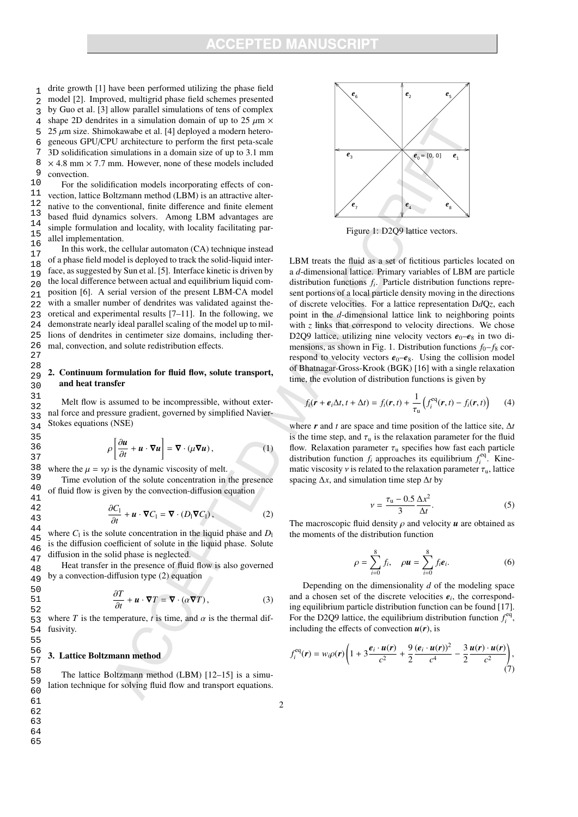# PTEN MANII

 1 2 3 4 5 6 7 8 9 drite growth [1] have been performed utilizing the phase field model [2]. Improved, multigrid phase field schemes presented by Guo et al. [3] allow parallel simulations of tens of complex shape 2D dendrites in a simulation domain of up to 25  $\mu$ m  $\times$  $25 \mu m$  size. Shimokawabe et al. [4] deployed a modern heterogeneous GPU/CPU architecture to perform the first peta-scale 3D solidification simulations in a domain size of up to 3.1 mm  $\times$  4.8 mm  $\times$  7.7 mm. However, none of these models included convection.

10 11 12 13 14 15 16 For the solidification models incorporating effects of convection, lattice Boltzmann method (LBM) is an attractive alternative to the conventional, finite difference and finite element based fluid dynamics solvers. Among LBM advantages are simple formulation and locality, with locality facilitating parallel implementation.

17 18 19  $20$ 21 22 23 24 25 26 27 In this work, the cellular automaton (CA) technique instead of a phase field model is deployed to track the solid-liquid interface, as suggested by Sun et al. [5]. Interface kinetic is driven by the local difference between actual and equilibrium liquid composition [6]. A serial version of the present LBM-CA model with a smaller number of dendrites was validated against theoretical and experimental results [7–11]. In the following, we demonstrate nearly ideal parallel scaling of the model up to millions of dendrites in centimeter size domains, including thermal, convection, and solute redistribution effects.

### 29 30 2. Continuum formulation for fluid flow, solute transport, and heat transfer

31 32 33 34 Melt flow is assumed to be incompressible, without external force and pressure gradient, governed by simplified Navier-Stokes equations (NSE)

$$
\rho \left[ \frac{\partial u}{\partial t} + u \cdot \nabla u \right] = \nabla \cdot (\mu \nabla u), \tag{1}
$$

38 39 where the  $\mu = v\rho$  is the dynamic viscosity of melt.

28

35 36 37

55

Time evolution of the solute concentration in the presence of fluid flow is given by the convection-diffusion equation

$$
\frac{\partial C_1}{\partial t} + \boldsymbol{u} \cdot \boldsymbol{\nabla} C_1 = \boldsymbol{\nabla} \cdot (D_1 \boldsymbol{\nabla} C_1),
$$
\n(2)

44 45 46 47 where  $C_1$  is the solute concentration in the liquid phase and  $D_1$ is the diffusion coefficient of solute in the liquid phase. Solute diffusion in the solid phase is neglected.

Heat transfer in the presence of fluid flow is also governed by a convection-diffusion type (2) equation

$$
\frac{\partial T}{\partial t} + \mathbf{u} \cdot \mathbf{\nabla} T = \mathbf{\nabla} \cdot (\alpha \mathbf{\nabla} T), \tag{3}
$$

53 54 where *T* is the temperature, *t* is time, and  $\alpha$  is the thermal diffusivity.

### 56 57 3. Lattice Boltzmann method

The lattice Boltzmann method (LBM) [12–15] is a simulation technique for solving fluid flow and transport equations.



Figure 1: D2Q9 lattice vectors.

LBM treats the fluid as a set of fictitious particles located on a *d*-dimensional lattice. Primary variables of LBM are particle distribution functions *f<sup>i</sup>* . Particle distribution functions represent portions of a local particle density moving in the directions of discrete velocities. For a lattice representation D*d*Q*z*, each point in the *d*-dimensional lattice link to neighboring points with  $z$  links that correspond to velocity directions. We chose D2Q9 lattice, utilizing nine velocity vectors  $e_0-e_8$  in two dimensions, as shown in Fig. 1. Distribution functions  $f_0 - f_8$  correspond to velocity vectors  $e_0-e_8$ . Using the collision model of Bhatnagar-Gross-Krook (BGK) [16] with a single relaxation time, the evolution of distribution functions is given by

$$
f_i(\mathbf{r} + \boldsymbol{e}_i \Delta t, t + \Delta t) = f_i(\mathbf{r}, t) + \frac{1}{\tau_u} \left( f_i^{\text{eq}}(\mathbf{r}, t) - f_i(\mathbf{r}, t) \right) \tag{4}
$$

where *r* and *t* are space and time position of the lattice site, ∆*t* is the time step, and  $\tau_u$  is the relaxation parameter for the fluid flow. Relaxation parameter  $\tau_u$  specifies how fast each particle distribution function  $f_i$  approaches its equilibrium  $f_i^{eq}$ . Kinematic viscosity  $\nu$  is related to the relaxation parameter  $\tau_u$ , lattice spacing ∆*x*, and simulation time step ∆*t* by

$$
\nu = \frac{\tau_{\rm u} - 0.5}{3} \frac{\Delta x^2}{\Delta t}.
$$
\n(5)

The macroscopic fluid density  $\rho$  and velocity  $\boldsymbol{u}$  are obtained as the moments of the distribution function

$$
\rho = \sum_{i=0}^{8} f_i, \quad \rho \mathbf{u} = \sum_{i=0}^{8} f_i \mathbf{e}_i.
$$
 (6)

Depending on the dimensionality *d* of the modeling space and a chosen set of the discrete velocities  $e_i$ , the corresponding equilibrium particle distribution function can be found [17]. For the D2Q9 lattice, the equilibrium distribution function  $f_i^{\text{eq}}$ , including the effects of convection  $u(r)$ , is

$$
f_i^{\text{eq}}(\mathbf{r}) = w_i \rho(\mathbf{r}) \left( 1 + 3 \frac{\boldsymbol{e}_i \cdot \boldsymbol{u}(\mathbf{r})}{c^2} + \frac{9}{2} \frac{(\boldsymbol{e}_i \cdot \boldsymbol{u}(\mathbf{r}))^2}{c^4} - \frac{3}{2} \frac{\boldsymbol{u}(\mathbf{r}) \cdot \boldsymbol{u}(\mathbf{r})}{c^2} \right), \tag{7}
$$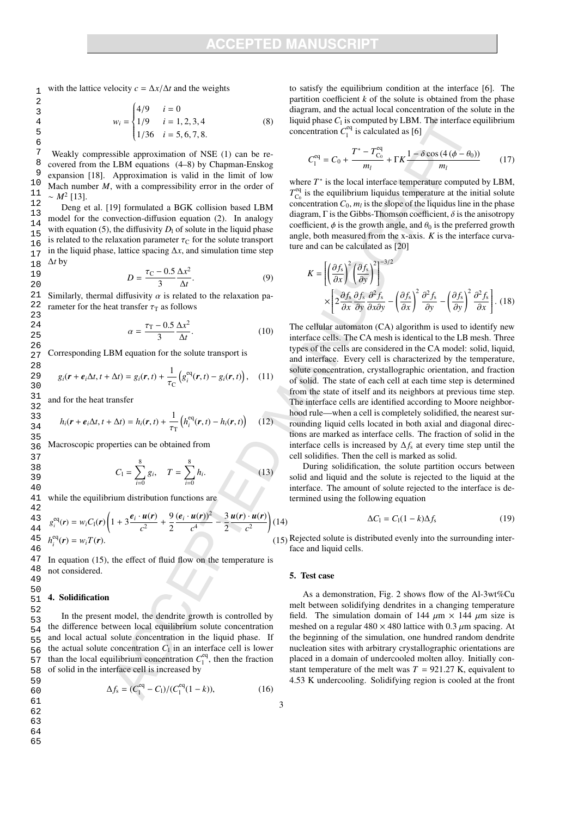with the lattice velocity  $c = \Delta x / \Delta t$  and the weights

$$
w_i = \begin{cases} 4/9 & i = 0\\ 1/9 & i = 1, 2, 3, 4\\ 1/36 & i = 5, 6, 7, 8. \end{cases}
$$
(8)

Weakly compressible approximation of NSE (1) can be recovered from the LBM equations (4–8) by Chapman-Enskog expansion [18]. Approximation is valid in the limit of low Mach number *M*, with a compressibility error in the order of  $\sim M^2$  [13].

Deng et al. [19] formulated a BGK collision based LBM model for the convection-diffusion equation (2). In analogy with equation (5), the diffusivity  $D_1$  of solute in the liquid phase is related to the relaxation parameter  $\tau_{\rm C}$  for the solute transport in the liquid phase, lattice spacing  $\Delta x$ , and simulation time step ∆*t* by

$$
D = \frac{\tau_{\rm C} - 0.5}{3} \frac{\Delta x^2}{\Delta t}.
$$
 (9)

Similarly, thermal diffusivity  $\alpha$  is related to the relaxation parameter for the heat transfer  $\tau$ <sub>T</sub> as follows

$$
=\frac{\tau_{\rm T}-0.5}{3}\frac{\Delta x^2}{\Delta t}.
$$
 (10)

Corresponding LBM equation for the solute transport is

 $\alpha$ 

$$
g_i(\mathbf{r}+\boldsymbol{e}_i\Delta t, t+\Delta t) = g_i(\mathbf{r},t) + \frac{1}{\tau_{\rm C}}\left(g_i^{\rm eq}(\mathbf{r},t) - g_i(\mathbf{r},t)\right), \quad (11)
$$

and for the heat transfer

$$
h_i(\mathbf{r} + \boldsymbol{e}_i \Delta t, t + \Delta t) = h_i(\mathbf{r}, t) + \frac{1}{\tau_{\rm T}} \left( h_i^{\rm eq}(\mathbf{r}, t) - h_i(\mathbf{r}, t) \right) \tag{12}
$$

Macroscopic properties can be obtained from

$$
C_1 = \sum_{i=0}^{8} g_i, \quad T = \sum_{i=0}^{8} h_i.
$$
 (13)

while the equilibrium distribution functions are

$$
\frac{3}{4} \t g_i^{eq}(r) = w_i C_1(r) \left( 1 + 3 \frac{e_i \cdot u(r)}{c^2} + \frac{9}{2} \frac{(e_i \cdot u(r))^2}{c^4} - \frac{3}{2} \frac{u(r) \cdot u(r)}{c^2} \right) (14)
$$
\n
$$
\frac{5}{4} h_i^{eq}(r) = w_i T(r). \tag{15}
$$

In equation (15), the effect of fluid flow on the temperature is not considered.

## 4. Solidification

In the present model, the dendrite growth is controlled by the difference between local equilibrium solute concentration and local actual solute concentration in the liquid phase. If the actual solute concentration  $C_1$  in an interface cell is lower than the local equilibrium concentration  $C_1^{\text{eq}}$ , then the fraction of solid in the interface cell is increased by

$$
\Delta f_{\rm s} = (C_1^{\rm eq} - C_1)/(C_1^{\rm eq}(1-k)),\tag{16}
$$

to satisfy the equilibrium condition at the interface [6]. The partition coefficient  $k$  of the solute is obtained from the phase diagram, and the actual local concentration of the solute in the liquid phase  $C_1$  is computed by LBM. The interface equilibrium concentration  $C_1^{\text{eq}}$  is calculated as [6]

$$
C_1^{\text{eq}} = C_0 + \frac{T^* - T_{C_0}^{\text{eq}}}{m_l} + \Gamma K \frac{1 - \delta \cos\left(4\left(\phi - \theta_0\right)\right)}{m_l} \tag{17}
$$

where  $T^*$  is the local interface temperature computed by LBM,  $T_{\text{C}_0}^{\text{eq}}$  is the equilibrium liquidus temperature at the initial solute concentration  $C_0$ ,  $m_l$  is the slope of the liquidus line in the phase diagram,  $\Gamma$  is the Gibbs-Thomson coefficient,  $\delta$  is the anisotropy coefficient,  $\phi$  is the growth angle, and  $\theta_0$  is the preferred growth angle, both measured from the x-axis. *K* is the interface curvature and can be calculated as [20]

$$
K = \left[ \left( \frac{\partial f_s}{\partial x} \right)^2 \left( \frac{\partial f_s}{\partial y} \right)^2 \right]^{-3/2}
$$
  
 
$$
\times \left[ 2 \frac{\partial f_s}{\partial x} \frac{\partial f_s}{\partial y} \frac{\partial^2 f_s}{\partial x \partial y} - \left( \frac{\partial f_s}{\partial x} \right)^2 \frac{\partial^2 f_s}{\partial y} - \left( \frac{\partial f_s}{\partial y} \right)^2 \frac{\partial^2 f_s}{\partial x} \right].
$$
 (18)

The cellular automaton (CA) algorithm is used to identify new interface cells. The CA mesh is identical to the LB mesh. Three types of the cells are considered in the CA model: solid, liquid, and interface. Every cell is characterized by the temperature, solute concentration, crystallographic orientation, and fraction of solid. The state of each cell at each time step is determined from the state of itself and its neighbors at previous time step. The interface cells are identified according to Moore neighborhood rule—when a cell is completely solidified, the nearest surrounding liquid cells located in both axial and diagonal directions are marked as interface cells. The fraction of solid in the interface cells is increased by ∆*f*<sup>s</sup> at every time step until the cell solidifies. Then the cell is marked as solid.

During solidification, the solute partition occurs between solid and liquid and the solute is rejected to the liquid at the interface. The amount of solute rejected to the interface is determined using the following equation

$$
\Delta C_1 = C_1 (1 - k) \Delta f_s \tag{19}
$$

Rejected solute is distributed evenly into the surrounding interface and liquid cells.

### 5. Test case

3

As a demonstration, Fig. 2 shows flow of the Al-3wt%Cu melt between solidifying dendrites in a changing temperature field. The simulation domain of 144  $\mu$ m × 144  $\mu$ m size is meshed on a regular  $480 \times 480$  lattice with 0.3  $\mu$ m spacing. At the beginning of the simulation, one hundred random dendrite nucleation sites with arbitrary crystallographic orientations are placed in a domain of undercooled molten alloy. Initially constant temperature of the melt was  $T = 921.27$  K, equivalent to 4.53 K undercooling. Solidifying region is cooled at the front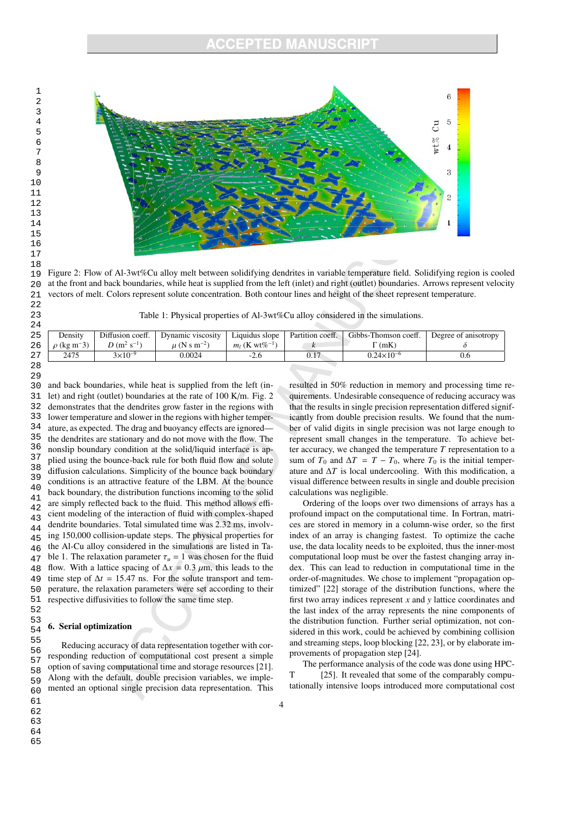

Figure 2: Flow of Al-3wt%Cu alloy melt between solidifying dendrites in variable temperature field. Solidifying region is cooled at the front and back boundaries, while heat is supplied from the left (inlet) and right (outlet) boundaries. Arrows represent velocity vectors of melt. Colors represent solute concentration. Both contour lines and height of the sheet represent temperature.

Table 1: Physical properties of Al-3wt%Cu alloy considered in the simulations.

| Density                      | Diffusion coeff. | Dynamic viscosity           | Liquidus slope                                       | Partition coeff. | Gibbs-Thomson coeff. | Degree of anisotropy |
|------------------------------|------------------|-----------------------------|------------------------------------------------------|------------------|----------------------|----------------------|
| $\rho$ (kg m <sup>-</sup> 3) | $D (m^2 s^{-1})$ | $\mu$ (N s m <sup>-2)</sup> | <i>m</i> <sub>1</sub> ( <b>K</b> wt% <sup>-1</sup> ) |                  | $\Gamma(mK)$         |                      |
| 2475                         | $3\times10^{-9}$ | 0.0024                      | $-2.6$                                               | 0.17             | $0.24\times10^{-6}$  | 0.6                  |
|                              |                  |                             |                                                      |                  |                      |                      |

30 31 32 33 34 35 36 37 38 39 40 41 42 43 44 45 46 47 48 49 50 51 and back boundaries, while heat is supplied from the left (inlet) and right (outlet) boundaries at the rate of 100 K/m. Fig. 2 demonstrates that the dendrites grow faster in the regions with lower temperature and slower in the regions with higher temperature, as expected. The drag and buoyancy effects are ignored the dendrites are stationary and do not move with the flow. The nonslip boundary condition at the solid/liquid interface is applied using the bounce-back rule for both fluid flow and solute diffusion calculations. Simplicity of the bounce back boundary conditions is an attractive feature of the LBM. At the bounce back boundary, the distribution functions incoming to the solid are simply reflected back to the fluid. This method allows efficient modeling of the interaction of fluid with complex-shaped dendrite boundaries. Total simulated time was 2.32 ms, involving 150,000 collision-update steps. The physical properties for the Al-Cu alloy considered in the simulations are listed in Table 1. The relaxation parameter  $\tau_u = 1$  was chosen for the fluid flow. With a lattice spacing of  $\Delta x = 0.3 \mu$ m, this leads to the time step of  $\Delta t = 15.47$  ns. For the solute transport and temperature, the relaxation parameters were set according to their respective diffusivities to follow the same time step.

### 6. Serial optimization

Reducing accuracy of data representation together with corresponding reduction of computational cost present a simple option of saving computational time and storage resources [21]. Along with the default, double precision variables, we implemented an optional single precision data representation. This resulted in 50% reduction in memory and processing time requirements. Undesirable consequence of reducing accuracy was that the results in single precision representation differed significantly from double precision results. We found that the number of valid digits in single precision was not large enough to represent small changes in the temperature. To achieve better accuracy, we changed the temperature *T* representation to a sum of  $T_0$  and  $\Delta T = T - T_0$ , where  $T_0$  is the initial temperature and  $\Delta T$  is local undercooling. With this modification, a visual difference between results in single and double precision calculations was negligible.

Ordering of the loops over two dimensions of arrays has a profound impact on the computational time. In Fortran, matrices are stored in memory in a column-wise order, so the first index of an array is changing fastest. To optimize the cache use, the data locality needs to be exploited, thus the inner-most computational loop must be over the fastest changing array index. This can lead to reduction in computational time in the order-of-magnitudes. We chose to implement "propagation optimized" [22] storage of the distribution functions, where the first two array indices represent *x* and *y* lattice coordinates and the last index of the array represents the nine components of the distribution function. Further serial optimization, not considered in this work, could be achieved by combining collision and streaming steps, loop blocking [22, 23], or by elaborate improvements of propagation step [24].

The performance analysis of the code was done using HPC-T [25]. It revealed that some of the comparably computationally intensive loops introduced more computational cost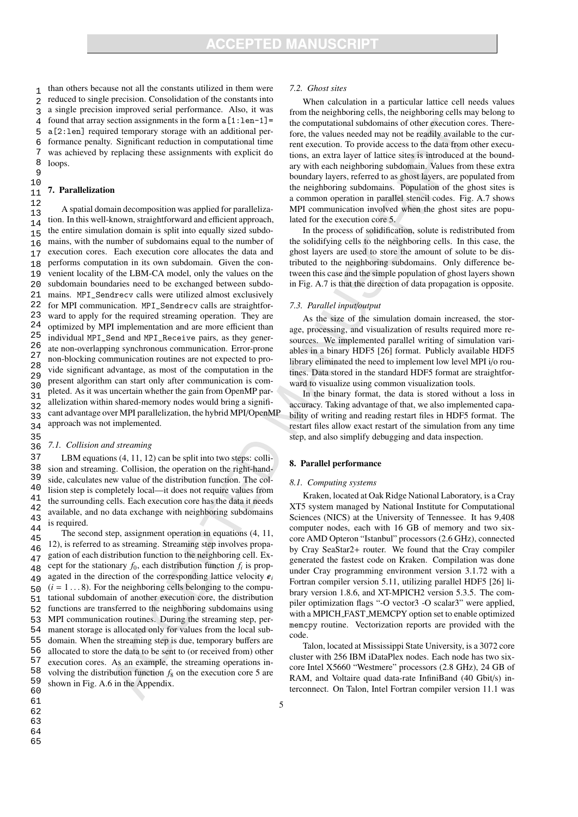1 2 3 4 5 6 7 8 than others because not all the constants utilized in them were reduced to single precision. Consolidation of the constants into a single precision improved serial performance. Also, it was found that array section assignments in the form  $a[1:len-1]$ a[2:len] required temporary storage with an additional performance penalty. Significant reduction in computational time was achieved by replacing these assignments with explicit do loops.

### 10 11 7. Parallelization

**9** 

35

12 13 14 15 16 17 18 19  $20$ 21 22 23 24 25 26 27 28 29 30 31 32 33 34 A spatial domain decomposition was applied for parallelization. In this well-known, straightforward and efficient approach, the entire simulation domain is split into equally sized subdomains, with the number of subdomains equal to the number of execution cores. Each execution core allocates the data and performs computation in its own subdomain. Given the convenient locality of the LBM-CA model, only the values on the subdomain boundaries need to be exchanged between subdomains. MPI\_Sendrecv calls were utilized almost exclusively for MPI communication. MPI\_Sendrecv calls are straightforward to apply for the required streaming operation. They are optimized by MPI implementation and are more efficient than individual MPI\_Send and MPI\_Receive pairs, as they generate non-overlapping synchronous communication. Error-prone non-blocking communication routines are not expected to provide significant advantage, as most of the computation in the present algorithm can start only after communication is completed. As it was uncertain whether the gain from OpenMP parallelization within shared-memory nodes would bring a significant advantage over MPI parallelization, the hybrid MPI/OpenMP approach was not implemented.

### 36 *7.1. Collision and streaming*

37 38 39 40 41 42 43 44 LBM equations (4, 11, 12) can be split into two steps: collision and streaming. Collision, the operation on the right-handside, calculates new value of the distribution function. The collision step is completely local—it does not require values from the surrounding cells. Each execution core has the data it needs available, and no data exchange with neighboring subdomains is required.

45 46 47 48 49 50 51 52 53 54 55 56 57 58 59 60 The second step, assignment operation in equations (4, 11, 12), is referred to as streaming. Streaming step involves propagation of each distribution function to the neighboring cell. Except for the stationary  $f_0$ , each distribution function  $f_i$  is propagated in the direction of the corresponding lattice velocity *e<sup>i</sup>*  $(i = 1...8)$ . For the neighboring cells belonging to the computational subdomain of another execution core, the distribution functions are transferred to the neighboring subdomains using MPI communication routines. During the streaming step, permanent storage is allocated only for values from the local subdomain. When the streaming step is due, temporary buffers are allocated to store the data to be sent to (or received from) other execution cores. As an example, the streaming operations involving the distribution function *f*<sup>8</sup> on the execution core 5 are shown in Fig. A.6 in the Appendix.

### *7.2. Ghost sites*

When calculation in a particular lattice cell needs values from the neighboring cells, the neighboring cells may belong to the computational subdomains of other execution cores. Therefore, the values needed may not be readily available to the current execution. To provide access to the data from other executions, an extra layer of lattice sites is introduced at the boundary with each neighboring subdomain. Values from these extra boundary layers, referred to as ghost layers, are populated from the neighboring subdomains. Population of the ghost sites is a common operation in parallel stencil codes. Fig. A.7 shows MPI communication involved when the ghost sites are populated for the execution core 5.

In the process of solidification, solute is redistributed from the solidifying cells to the neighboring cells. In this case, the ghost layers are used to store the amount of solute to be distributed to the neighboring subdomains. Only difference between this case and the simple population of ghost layers shown in Fig. A.7 is that the direction of data propagation is opposite.

### *7.3. Parallel input*/*output*

As the size of the simulation domain increased, the storage, processing, and visualization of results required more resources. We implemented parallel writing of simulation variables in a binary HDF5 [26] format. Publicly available HDF5 library eliminated the need to implement low level MPI i/o routines. Data stored in the standard HDF5 format are straightforward to visualize using common visualization tools.

In the binary format, the data is stored without a loss in accuracy. Taking advantage of that, we also implemented capability of writing and reading restart files in HDF5 format. The restart files allow exact restart of the simulation from any time step, and also simplify debugging and data inspection.

### 8. Parallel performance

### *8.1. Computing systems*

Kraken, located at Oak Ridge National Laboratory, is a Cray XT5 system managed by National Institute for Computational Sciences (NICS) at the University of Tennessee. It has 9,408 computer nodes, each with 16 GB of memory and two sixcore AMD Opteron "Istanbul" processors (2.6 GHz), connected by Cray SeaStar2+ router. We found that the Cray compiler generated the fastest code on Kraken. Compilation was done under Cray programming environment version 3.1.72 with a Fortran compiler version 5.11, utilizing parallel HDF5 [26] library version 1.8.6, and XT-MPICH2 version 5.3.5. The compiler optimization flags "-O vector3 -O scalar3" were applied, with a MPICH FAST MEMCPY option set to enable optimized memcpy routine. Vectorization reports are provided with the code.

Talon, located at Mississippi State University, is a 3072 core cluster with 256 IBM iDataPlex nodes. Each node has two sixcore Intel X5660 "Westmere" processors (2.8 GHz), 24 GB of RAM, and Voltaire quad data-rate InfiniBand (40 Gbit/s) interconnect. On Talon, Intel Fortran compiler version 11.1 was

5

- 63
- 64
- 65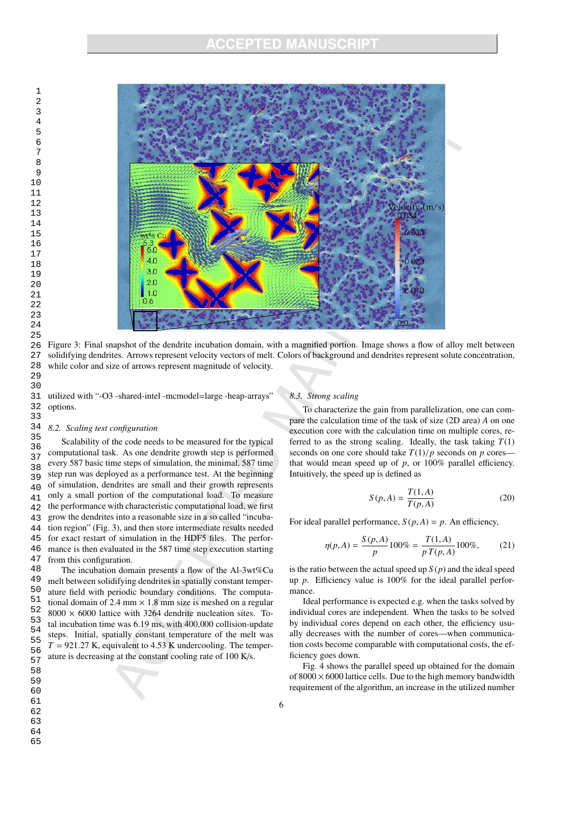# **INCUBATION MANUSCHIPT**<br>
ACCEPTED MANUSCHIPT



Figure 3: Final snapshot of the dendrite incubation domain, with a magnified portion. Image shows a flow of alloy melt between solidifying dendrites. Arrows represent velocity vectors of melt. Colors of background and dendrites represent solute concentration, while color and size of arrows represent magnitude of velocity.

31 32 utilized with "-O3 -shared-intel -mcmodel=large -heap-arrays" options.

### *8.2. Scaling test configuration*

36 37 38 39  $40$ 41 42 43 44 45 46 47 As Teptac - Frame simplestics of the the simulation of the simulation of the simulation of the simulation of the simulation of the simulation of the simulation of the simulation of the simulation of the simulation of the Scalability of the code needs to be measured for the typical computational task. As one dendrite growth step is performed every 587 basic time steps of simulation, the minimal, 587 time step run was deployed as a performance test. At the beginning of simulation, dendrites are small and their growth represents only a small portion of the computational load. To measure the performance with characteristic computational load, we first grow the dendrites into a reasonable size in a so called "incubation region" (Fig. 3), and then store intermediate results needed for exact restart of simulation in the HDF5 files. The performance is then evaluated in the 587 time step execution starting from this configuration.

49 50 51 52 53 54 55 56 57 The incubation domain presents a flow of the Al-3wt%Cu melt between solidifying dendrites in spatially constant temperature field with periodic boundary conditions. The computational domain of 2.4 mm  $\times$  1.8 mm size is meshed on a regular  $8000 \times 6000$  lattice with 3264 dendrite nucleation sites. Total incubation time was 6.19 ms, with 400,000 collision-update steps. Initial, spatially constant temperature of the melt was  $T = 921.27$  K, equivalent to 4.53 K undercooling. The temperature is decreasing at the constant cooling rate of 100 K/s.

### *8.3. Strong scaling*

To characterize the gain from parallelization, one can compare the calculation time of the task of size (2D area) *A* on one execution core with the calculation time on multiple cores, referred to as the strong scaling. Ideally, the task taking  $T(1)$ seconds on one core should take  $T(1)/p$  seconds on  $p$  cores that would mean speed up of  $p$ , or 100% parallel efficiency. Intuitively, the speed up is defined as

$$
S(p, A) = \frac{T(1, A)}{T(p, A)}
$$
\n(20)

For ideal parallel performance,  $S(p, A) = p$ . An efficiency,

$$
\eta(p,A) = \frac{S(p,A)}{p}100\% = \frac{T(1,A)}{p\,T(p,A)}100\%,\tag{21}
$$

is the ratio between the actual speed up  $S(p)$  and the ideal speed up *p*. Efficiency value is 100% for the ideal parallel performance.

Ideal performance is expected e.g. when the tasks solved by individual cores are independent. When the tasks to be solved by individual cores depend on each other, the efficiency usually decreases with the number of cores—when communication costs become comparable with computational costs, the efficiency goes down.

Fig. 4 shows the parallel speed up obtained for the domain of  $8000 \times 6000$  lattice cells. Due to the high memory bandwidth requirement of the algorithm, an increase in the utilized number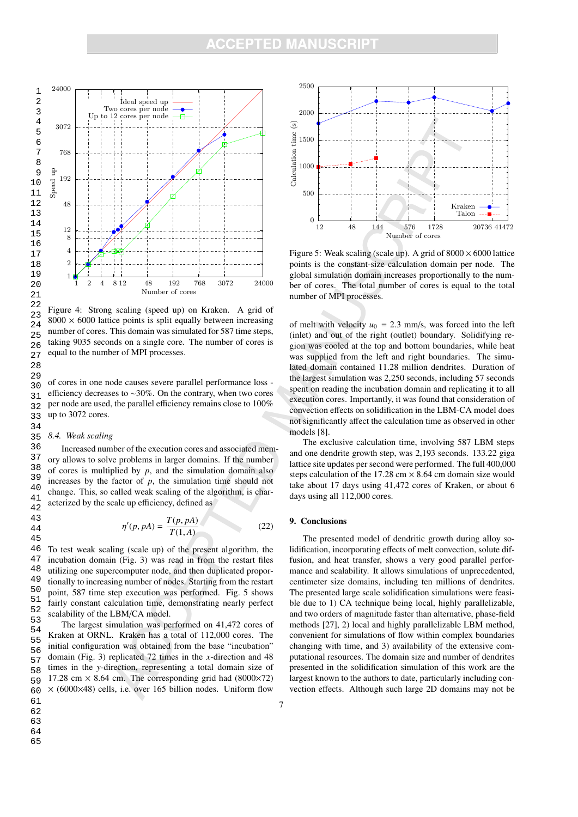

Figure 4: Strong scaling (speed up) on Kraken. A grid of  $8000 \times 6000$  lattice points is split equally between increasing number of cores. This domain was simulated for 587 time steps, taking 9035 seconds on a single core. The number of cores is equal to the number of MPI processes.

29 30 31 32 33 of cores in one node causes severe parallel performance loss efficiency decreases to ∼30%. On the contrary, when two cores per node are used, the parallel efficiency remains close to 100% up to 3072 cores.

### 35 *8.4. Weak scaling*

34

43 44 45

36 37 38 39 40 41 42 Increased number of the execution cores and associated memory allows to solve problems in larger domains. If the number of cores is multiplied by  $p$ , and the simulation domain also increases by the factor of *p*, the simulation time should not change. This, so called weak scaling of the algorithm, is characterized by the scale up efficiency, defined as

$$
\eta'(p, pA) = \frac{T(p, pA)}{T(1, A)}
$$
\n(22)

46 47 48 49 50 51 52 To test weak scaling (scale up) of the present algorithm, the incubation domain (Fig. 3) was read in from the restart files utilizing one supercomputer node, and then duplicated proportionally to increasing number of nodes. Starting from the restart point, 587 time step execution was performed. Fig. 5 shows fairly constant calculation time, demonstrating nearly perfect scalability of the LBM/CA model.

53 54 55 56 57 58 59 60 19<br>
20<br>
21<br>
22<br>
22 Figure 8000 > number<br>
25 a faking<br>
28 30 of corrections<br>
27 a faking<br>
28 30 of corrections<br>
28 31 efficiency and the factor of the state of the state<br>
33 34 35 8.4. In factorization and a state<br>
41 a 42 The largest simulation was performed on 41,472 cores of Kraken at ORNL. Kraken has a total of 112,000 cores. The initial configuration was obtained from the base "incubation" domain (Fig. 3) replicated 72 times in the *x*-direction and 48 times in the *y*-direction, representing a total domain size of 17.28 cm  $\times$  8.64 cm. The corresponding grid had (8000 $\times$ 72)  $\times$  (6000×48) cells, i.e. over 165 billion nodes. Uniform flow



63

64

65



Figure 5: Weak scaling (scale up). A grid of  $8000 \times 6000$  lattice points is the constant-size calculation domain per node. The global simulation domain increases proportionally to the number of cores. The total number of cores is equal to the total number of MPI processes.

of melt with velocity  $u_0 = 2.3$  mm/s, was forced into the left (inlet) and out of the right (outlet) boundary. Solidifying region was cooled at the top and bottom boundaries, while heat was supplied from the left and right boundaries. The simulated domain contained 11.28 million dendrites. Duration of the largest simulation was 2,250 seconds, including 57 seconds spent on reading the incubation domain and replicating it to all execution cores. Importantly, it was found that consideration of convection effects on solidification in the LBM-CA model does not significantly affect the calculation time as observed in other models [8].

The exclusive calculation time, involving 587 LBM steps and one dendrite growth step, was 2,193 seconds. 133.22 giga lattice site updates per second were performed. The full 400,000 steps calculation of the 17.28 cm  $\times$  8.64 cm domain size would take about 17 days using 41,472 cores of Kraken, or about 6 days using all 112,000 cores.

### 9. Conclusions

The presented model of dendritic growth during alloy solidification, incorporating effects of melt convection, solute diffusion, and heat transfer, shows a very good parallel performance and scalability. It allows simulations of unprecedented, centimeter size domains, including ten millions of dendrites. The presented large scale solidification simulations were feasible due to 1) CA technique being local, highly parallelizable, and two orders of magnitude faster than alternative, phase-field methods [27], 2) local and highly parallelizable LBM method, convenient for simulations of flow within complex boundaries changing with time, and 3) availability of the extensive computational resources. The domain size and number of dendrites presented in the solidification simulation of this work are the largest known to the authors to date, particularly including convection effects. Although such large 2D domains may not be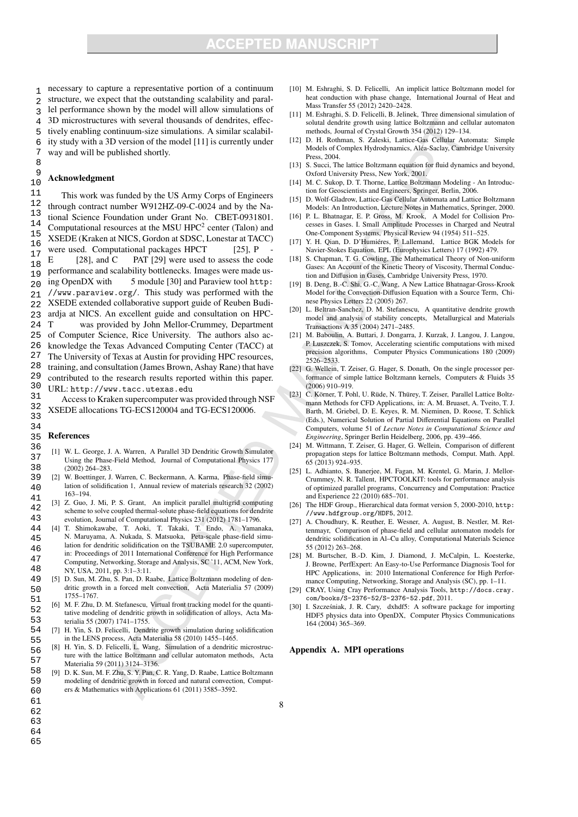1 2 3 4 5 6 7 necessary to capture a representative portion of a continuum structure, we expect that the outstanding scalability and parallel performance shown by the model will allow simulations of 3D microstructures with several thousands of dendrites, effectively enabling continuum-size simulations. A similar scalability study with a 3D version of the model [11] is currently under way and will be published shortly.

 9 10 Acknowledgment

8

11 12 13 14 15 16  $\frac{17}{16}$   $\frac{w}{E}$ 18  $\frac{19}{20}$  performance and s  $20$ 21 22  $23$  and  $24$  T 24 25 26 27 28 29 30 This work was funded by the US Army Corps of Engineers through contract number W912HZ-09-C-0024 and by the National Science Foundation under Grant No. CBET-0931801. Computational resources at the MSU  $HPC<sup>2</sup>$  center (Talon) and XSEDE (Kraken at NICS, Gordon at SDSC, Lonestar at TACC) were used. Computational packages HPCT [25], P [28], and  $C$  PAT [29] were used to assess the code performance and scalability bottlenecks. Images were made us-5 module [30] and Paraview tool http: //www.paraview.org/. This study was performed with the XSEDE extended collaborative support guide of Reuben Budiardja at NICS. An excellent guide and consultation on HPCwas provided by John Mellor-Crummey, Department of Computer Science, Rice University. The authors also acknowledge the Texas Advanced Computing Center (TACC) at The University of Texas at Austin for providing HPC resources, training, and consultation (James Brown, Ashay Rane) that have contributed to the research results reported within this paper. URL: http://www.tacc.utexas.edu

31 32 33 Access to Kraken supercomputer was provided through NSF XSEDE allocations TG-ECS120004 and TG-ECS120006.

#### 35 References

34

- 36 37 38 [1] W. L. George, J. A. Warren, A Parallel 3D Dendritic Growth Simulator Using the Phase-Field Method, Journal of Computational Physics 177 (2002) 264–283.
- 39  $40$ 41 [2] W. Boettinger, J. Warren, C. Beckermann, A. Karma, Phase-field simulation of solidification 1, Annual review of materials research 32 (2002) 163–194.
- 42 43 [3] Z. Guo, J. Mi, P. S. Grant, An implicit parallel multigrid computing scheme to solve coupled thermal-solute phase-field equations for dendrite evolution, Journal of Computational Physics 231 (2012) 1781–1796.
- 44 45 46 47 48 [4] T. Shimokawabe, T. Aoki, T. Takaki, T. Endo, A. Yamanaka, N. Maruyama, A. Nukada, S. Matsuoka, Peta-scale phase-field simulation for dendritic solidification on the TSUBAME 2.0 supercomputer, in: Proceedings of 2011 International Conference for High Performance Computing, Networking, Storage and Analysis, SC '11, ACM, New York, NY, USA, 2011, pp. 3:1–3:11.
- 49 50 51 [5] D. Sun, M. Zhu, S. Pan, D. Raabe, Lattice Boltzmann modeling of dendritic growth in a forced melt convection, Acta Materialia 57 (2009) 1755–1767.
- 52 53 [6] M. F. Zhu, D. M. Stefanescu, Virtual front tracking model for the quantitative modeling of dendritic growth in solidification of alloys, Acta Materialia 55 (2007) 1741–1755.
- 54 55 [7] H. Yin, S. D. Felicelli, Dendrite growth simulation during solidification in the LENS process, Acta Materialia 58 (2010) 1455–1465.
- 56 57 [8] H. Yin, S. D. Felicelli, L. Wang, Simulation of a dendritic microstructure with the lattice Boltzmann and cellular automaton methods, Acta Materialia 59 (2011) 3124–3136.
- 58 59 60 [9] D. K. Sun, M. F. Zhu, S. Y. Pan, C. R. Yang, D. Raabe, Lattice Boltzmann modeling of dendritic growth in forced and natural convection, Computers & Mathematics with Applications 61 (2011) 3585–3592.
- [10] M. Eshraghi, S. D. Felicelli, An implicit lattice Boltzmann model for heat conduction with phase change, International Journal of Heat and Mass Transfer 55 (2012) 2420–2428.
- [11] M. Eshraghi, S. D. Felicelli, B. Jelinek, Three dimensional simulation of solutal dendrite growth using lattice Boltzmann and cellular automaton methods, Journal of Crystal Growth 354 (2012) 129–134.
- [12] D. H. Rothman, S. Zaleski, Lattice-Gas Cellular Automata: Simple Models of Complex Hydrodynamics, Alea-Saclay, Cambridge University ´ Press, 2004.
- [13] S. Succi, The lattice Boltzmann equation for fluid dynamics and beyond, Oxford University Press, New York, 2001.
- [14] M. C. Sukop, D. T. Thorne, Lattice Boltzmann Modeling An Introduction for Geoscientists and Engineers, Springer, Berlin, 2006.
- [15] D. Wolf-Gladrow, Lattice-Gas Cellular Automata and Lattice Boltzmann Models: An Introduction, Lecture Notes in Mathematics, Springer, 2000.
- [16] P. L. Bhatnagar, E. P. Gross, M. Krook, A Model for Collision Processes in Gases. I. Small Amplitude Processes in Charged and Neutral One-Component Systems, Physical Review 94 (1954) 511–525.
- [17] Y. H. Qian, D. D'Humiéres, P. Lallemand, Lattice BGK Models for Navier-Stokes Equation, EPL (Europhysics Letters) 17 (1992) 479.
- [18] S. Chapman, T. G. Cowling, The Mathematical Theory of Non-uniform Gases: An Account of the Kinetic Theory of Viscosity, Thermal Conduction and Diffusion in Gases, Cambridge University Press, 1970.
- [19] B. Deng, B.-C. Shi, G.-C. Wang, A New Lattice Bhatnagar-Gross-Krook Model for the Convection-Diffusion Equation with a Source Term, Chinese Physics Letters 22 (2005) 267.
- [20] L. Beltran-Sanchez, D. M. Stefanescu, A quantitative dendrite growth model and analysis of stability concepts, Metallurgical and Materials Transactions A 35 (2004) 2471–2485.
- [21] M. Baboulin, A. Buttari, J. Dongarra, J. Kurzak, J. Langou, J. Langou, P. Luszczek, S. Tomov, Accelerating scientific computations with mixed precision algorithms, Computer Physics Communications 180 (2009) 2526–2533.
- [22] G. Wellein, T. Zeiser, G. Hager, S. Donath, On the single processor performance of simple lattice Boltzmann kernels, Computers & Fluids 35 (2006) 910–919.
- [23] C. Körner, T. Pohl, U. Rüde, N. Thürey, T. Zeiser, Parallel Lattice Boltzmann Methods for CFD Applications, in: A. M. Bruaset, A. Tveito, T. J. Barth, M. Griebel, D. E. Keyes, R. M. Nieminen, D. Roose, T. Schlick (Eds.), Numerical Solution of Partial Differential Equations on Parallel Computers, volume 51 of *Lecture Notes in Computational Science and Engineering*, Springer Berlin Heidelberg, 2006, pp. 439–466.
- [24] M. Wittmann, T. Zeiser, G. Hager, G. Wellein, Comparison of different propagation steps for lattice Boltzmann methods, Comput. Math. Appl. 65 (2013) 924–935.
- [25] L. Adhianto, S. Banerjee, M. Fagan, M. Krentel, G. Marin, J. Mellor-Crummey, N. R. Tallent, HPCTOOLKIT: tools for performance analysis of optimized parallel programs, Concurrency and Computation: Practice and Experience 22 (2010) 685–701.
- [26] The HDF Group., Hierarchical data format version 5, 2000-2010, http: //www.hdfgroup.org/HDF5, 2012.
- A. Choudhury, K. Reuther, E. Wesner, A. August, B. Nestler, M. Rettenmayr, Comparison of phase-field and cellular automaton models for dendritic solidification in Al–Cu alloy, Computational Materials Science 55 (2012) 263–268.
- [28] M. Burtscher, B.-D. Kim, J. Diamond, J. McCalpin, L. Koesterke, J. Browne, PerfExpert: An Easy-to-Use Performance Diagnosis Tool for HPC Applications, in: 2010 International Conference for High Performance Computing, Networking, Storage and Analysis (SC), pp. 1–11.
- [29] CRAY, Using Cray Performance Analysis Tools, http://docs.cray. com/books/S-2376-52/S-2376-52.pdf, 2011.
- I. Szcześniak, J. R. Cary, dxhdf5: A software package for importing HDF5 physics data into OpenDX, Computer Physics Communications 164 (2004) 365–369.

### Appendix A. MPI operations

- 61 62
- 63
- 64 65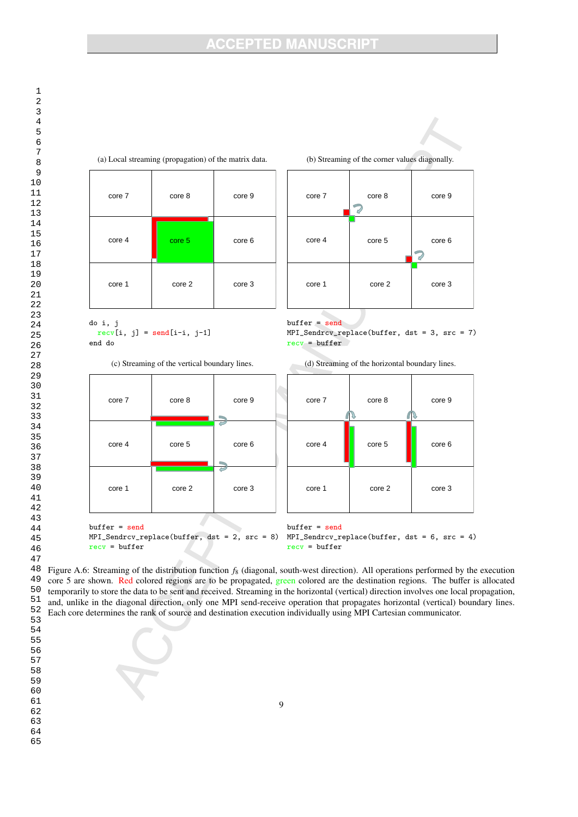# **ACCEPTED MANUSCRIPT**



60 61 62

63

58 59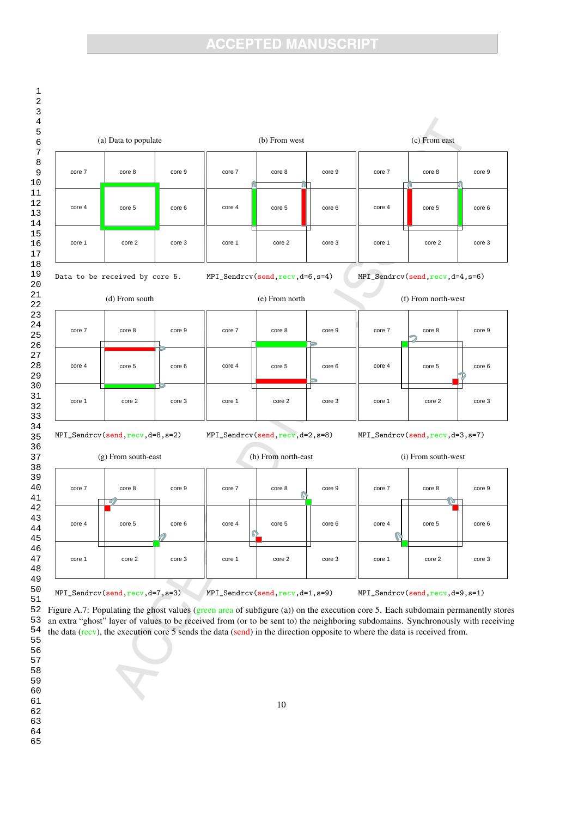# **ACCEPTED MANUSCRIPT**



10